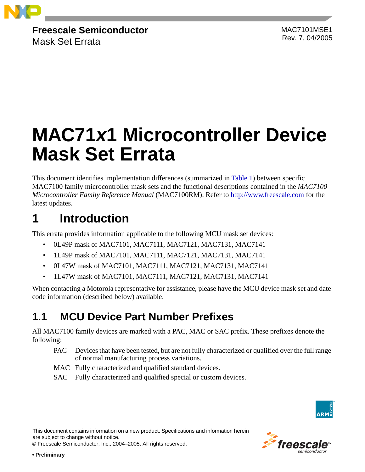

**Freescale Semiconductor** Mask Set Errata

MAC7101MSE1 Rev. 7, 04/2005

# **MAC71***x***1 Microcontroller Device Mask Set Errata**

This document identifies implementation differences (summarized in [Table 1](#page-1-0)) between specific MAC7100 family microcontroller mask sets and the functional descriptions contained in the *MAC7100 Microcontroller Family Reference Manual* (MAC7100RM). Refer to<http://www.freescale.com> for the latest updates.

# **1 Introduction**

This errata provides information applicable to the following MCU mask set devices:

- 0L49P mask of MAC7101, MAC7111, MAC7121, MAC7131, MAC7141
- 1L49P mask of MAC7101, MAC7111, MAC7121, MAC7131, MAC7141
- 0L47W mask of MAC7101, MAC7111, MAC7121, MAC7131, MAC7141
- 1L47W mask of MAC7101, MAC7111, MAC7121, MAC7131, MAC7141

When contacting a Motorola representative for assistance, please have the MCU device mask set and date code information (described below) available.

# **1.1 MCU Device Part Number Prefixes**

All MAC7100 family devices are marked with a PAC, MAC or SAC prefix. These prefixes denote the following:

- PAC Devices that have been tested, but are not fully characterized or qualified over the full range of normal manufacturing process variations.
- MAC Fully characterized and qualified standard devices.
- SAC Fully characterized and qualified special or custom devices.



This document contains information on a new product. Specifications and information herein frees © Freescale Semiconductor, Inc., 2004–2005. All rights reserved.

**• Preliminary**

are subject to change without notice.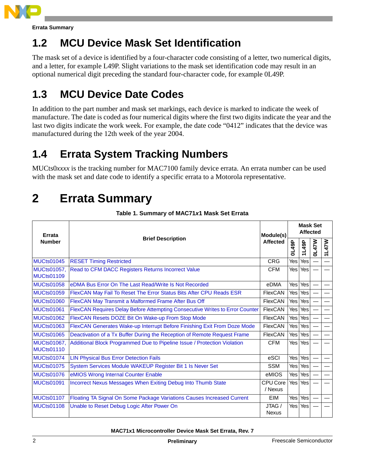

**Errata Summary** 

# **1.2 MCU Device Mask Set Identification**

The mask set of a device is identified by a four-character code consisting of a letter, two numerical digits, and a letter, for example L49P. Slight variations to the mask set identification code may result in an optional numerical digit preceding the standard four-character code, for example 0L49P.

# **1.3 MCU Device Date Codes**

In addition to the part number and mask set markings, each device is marked to indicate the week of manufacture. The date is coded as four numerical digits where the first two digits indicate the year and the last two digits indicate the work week. For example, the date code "0412" indicates that the device was manufactured during the 12th week of the year 2004.

# **1.4 Errata System Tracking Numbers**

MUCts0*xxxx* is the tracking number for MAC7100 family device errata. An errata number can be used with the mask set and date code to identify a specific errata to a Motorola representative.

# **2 Errata Summary**

<span id="page-1-0"></span>

| Errata                                  |                                                                              |                        | <b>Mask Set</b><br><b>Affected</b> |         |              |       |
|-----------------------------------------|------------------------------------------------------------------------------|------------------------|------------------------------------|---------|--------------|-------|
| <b>Number</b>                           | <b>Brief Description</b>                                                     | <b>Affected</b>        | 49P<br>ಕ                           | 1L49P   | <b>MZP70</b> | 1L47W |
| <b>MUCts01045</b>                       | <b>RESET Timing Restricted</b>                                               | <b>CRG</b>             | Yes                                | Yes     |              |       |
| <b>MUCts01057,</b><br><b>MUCts01109</b> | Read to CFM DACC Registers Returns Incorrect Value                           | <b>CFM</b>             |                                    | Yes Yes |              |       |
| <b>MUCts01058</b>                       | eDMA Bus Error On The Last Read/Write Is Not Recorded                        | eDMA                   | Yes                                | Yes     |              |       |
| <b>MUCts01059</b>                       | <b>FlexCAN May Fail To Reset The Error Status Bits After CPU Reads ESR</b>   | FlexCAN                |                                    | Yes Yes |              |       |
| <b>MUCts01060</b>                       | FlexCAN May Transmit a Malformed Frame After Bus Off                         | <b>FlexCAN</b>         |                                    | Yes Yes |              |       |
| <b>MUCts01061</b>                       | FlexCAN Requires Delay Before Attempting Consecutive Writes to Error Counter | FlexCAN                |                                    | Yes Yes |              |       |
| <b>MUCts01062</b>                       | FlexCAN Resets DOZE Bit On Wake-up From Stop Mode                            | <b>FlexCAN</b>         |                                    | Yes Yes |              |       |
| <b>MUCts01063</b>                       | FlexCAN Generates Wake-up Interrupt Before Finishing Exit From Doze Mode     | <b>FlexCAN</b>         |                                    | Yes Yes |              |       |
| <b>MUCts01065</b>                       | Deactivation of a Tx Buffer During the Reception of Remote Request Frame     | <b>FlexCAN</b>         | Yes                                | Yes     |              |       |
| <b>MUCts01067,</b><br><b>MUCts01110</b> | Additional Block Programmed Due to Pipeline Issue / Protection Violation     | <b>CFM</b>             |                                    | Yes Yes |              |       |
| <b>MUCts01074</b>                       | <b>LIN Physical Bus Error Detection Fails</b>                                | eSCI                   | Yes                                | Yes     |              |       |
| <b>MUCts01075</b>                       | System Services Module WAKEUP Register Bit 1 Is Never Set                    | <b>SSM</b>             | Yes                                | Yes     |              |       |
| <b>MUCts01076</b>                       | eMIOS Wrong Internal Counter Enable                                          | eMIOS                  | Yes                                | Yes     |              |       |
| <b>MUCts01091</b>                       | Incorrect Nexus Messages When Exiting Debug Into Thumb State                 | CPU Core<br>/ Nexus    |                                    | Yes Yes |              |       |
| <b>MUCts01107</b>                       | Floating TA Signal On Some Package Variations Causes Increased Current       | EIM                    | Yes                                | Yes     |              |       |
| <b>MUCts01108</b>                       | Unable to Reset Debug Logic After Power On                                   | JTAG /<br><b>Nexus</b> |                                    | Yes Yes |              |       |

#### **Table 1. Summary of MAC71***x***1 Mask Set Errata**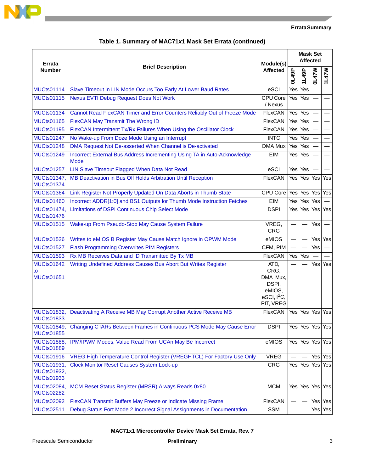

| Errata                                          |                                                                                                                                              | Module(s)           | <b>Mask Set</b><br>Affected |         |                 |                          |  |
|-------------------------------------------------|----------------------------------------------------------------------------------------------------------------------------------------------|---------------------|-----------------------------|---------|-----------------|--------------------------|--|
| <b>Number</b>                                   | <b>Brief Description</b>                                                                                                                     | <b>Affected</b>     | 0L49P                       | 1L49P   | 0L47W           | <b>1L47W</b>             |  |
| <b>MUCts01114</b>                               | Slave Timeout in LIN Mode Occurs Too Early At Lower Baud Rates                                                                               | eSCI                | Yes                         | Yes     |                 |                          |  |
| <b>MUCts01115</b>                               | <b>Nexus EVTI Debug Request Does Not Work</b>                                                                                                | CPU Core<br>/ Nexus | Yes                         | Yes     |                 |                          |  |
| <b>MUCts01134</b>                               | Cannot Read FlexCAN Timer and Error Counters Reliably Out of Freeze Mode                                                                     | FlexCAN             |                             | Yes Yes |                 |                          |  |
| <b>MUCts01165</b>                               | FlexCAN May Transmit The Wrong ID                                                                                                            | FlexCAN             |                             | Yes Yes |                 |                          |  |
| <b>MUCts01195</b>                               | FlexCAN Intermittent Tx/Rx Failures When Using the Oscillator Clock                                                                          | FlexCAN             |                             | Yes Yes |                 |                          |  |
| <b>MUCts01247</b>                               | No Wake-up From Doze Mode Using an Interrupt                                                                                                 | <b>INTC</b>         |                             | Yes Yes |                 | $\overline{\phantom{0}}$ |  |
| <b>MUCts01248</b>                               | DMA Request Not De-asserted When Channel is De-activated                                                                                     | <b>DMA Mux</b>      |                             | Yes Yes |                 |                          |  |
| <b>MUCts01249</b>                               | Incorrect External Bus Address Incrementing Using TA in Auto-Acknowledge<br><b>Mode</b>                                                      | EIM                 |                             | Yes Yes |                 |                          |  |
| <b>MUCts01257</b>                               | LIN Slave Timeout Flagged When Data Not Read                                                                                                 | eSCI                |                             | Yes Yes |                 |                          |  |
| MUCts01347,<br>MUCts01374                       | MB Deactivation in Bus Off Holds Arbitration Until Reception                                                                                 | FlexCAN             |                             | Yes Yes | Yes             | Yes                      |  |
| <b>MUCts01364</b>                               | Link Register Not Properly Updated On Data Aborts in Thumb State                                                                             | CPU Core            |                             |         | Yes Yes Yes Yes |                          |  |
| <b>MUCts01460</b>                               | Incorrect ADDR[1:0] and BS1 Outputs for Thumb Mode Instruction Fetches                                                                       | <b>EIM</b>          | Yes                         | Yes     | Yes             |                          |  |
| <b>MUCts01474,</b><br><b>MUCts01476</b>         | <b>Limitations of DSPI Continuous Chip Select Mode</b><br><b>DSPI</b>                                                                        |                     | Yes                         | Yes     | Yes             | Yes                      |  |
| <b>MUCts01515</b>                               | Wake-up From Pseudo-Stop May Cause System Failure<br>VREG,<br><b>CRG</b>                                                                     |                     |                             |         | Yes             |                          |  |
| <b>MUCts01526</b>                               | Writes to eMIOS B Register May Cause Match Ignore in OPWM Mode                                                                               | eMIOS               |                             |         | Yes             | Yes                      |  |
| <b>MUCts01527</b>                               | <b>Flash Programming Overwrites PIM Registers</b><br>CFM, PIM                                                                                |                     |                             |         | Yes             |                          |  |
| <b>MUCts01593</b>                               | Rx MB Receives Data and ID Transmitted By Tx MB<br>FlexCAN                                                                                   |                     | Yes                         | Yes     |                 |                          |  |
| <b>MUCts01642</b><br>to<br><b>MUCts01651</b>    | Writing Undefined Address Causes Bus Abort But Writes Register<br>ATD,<br>CRG,<br>DMA Mux,<br>DSPI,<br>eMIOS,<br>eSCI, $I^2C$ ,<br>PIT, VREG |                     |                             |         |                 | Yes Yes                  |  |
| MUCts01833                                      | MUCts01832, Deactivating A Receive MB May Corrupt Another Active Receive MB<br>FlexCAN                                                       |                     |                             | Yes Yes | Yes Yes         |                          |  |
| <b>MUCts01849,</b><br><b>MUCts01855</b>         | Changing CTARs Between Frames in Continuous PCS Mode May Cause Error<br><b>DSPI</b>                                                          |                     | Yes                         | Yes     | Yes Yes         |                          |  |
| <b>MUCts01888,</b><br><b>MUCts01889</b>         | IPM/IPWM Modes, Value Read From UCAn May Be Incorrect<br>eMIOS                                                                               |                     |                             | Yes Yes | Yes Yes         |                          |  |
| <b>MUCts01916</b>                               | VREG High Temperature Control Register (VREGHTCL) For Factory Use Only                                                                       | <b>VREG</b>         |                             |         |                 | Yes Yes                  |  |
| MUCts01931,<br>MUCts01932,<br><b>MUCts01933</b> | <b>Clock Monitor Reset Causes System Lock-up</b><br>CRG                                                                                      |                     | Yes                         | Yes     |                 | Yes Yes                  |  |
| MUCts02084,<br><b>MUCts02282</b>                | MCM Reset Status Register (MRSR) Always Reads 0x80<br><b>MCM</b>                                                                             |                     | Yes                         | Yes     | Yes             | Yes                      |  |
| <b>MUCts02092</b>                               | FlexCAN Transmit Buffers May Freeze or Indicate Missing Frame                                                                                | FlexCAN             |                             |         |                 | Yes Yes                  |  |
| <b>MUCts02511</b>                               | Debug Status Port Mode 2 Incorrect Signal Assignments in Documentation<br><b>SSM</b>                                                         |                     |                             |         |                 | Yes Yes                  |  |

#### **Table 1. Summary of MAC71***x***1 Mask Set Errata (continued)**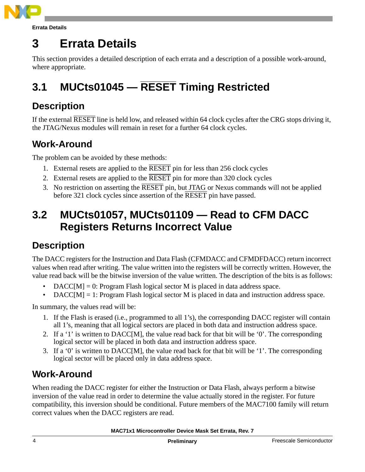

# **3 Errata Details**

This section provides a detailed description of each errata and a description of a possible work-around, where appropriate.

# <span id="page-3-0"></span>**3.1 MUCts01045 — RESET Timing Restricted**

# **Description**

If the external RESET line is held low, and released within 64 clock cycles after the CRG stops driving it, the JTAG/Nexus modules will remain in reset for a further 64 clock cycles.

# **Work-Around**

The problem can be avoided by these methods:

- 1. External resets are applied to the RESET pin for less than 256 clock cycles
- 2. External resets are applied to the  $\overline{\text{RESET}}$  pin for more than 320 clock cycles
- 3. No restriction on asserting the RESET pin, but JTAG or Nexus commands will not be applied before 321 clock cycles since assertion of the RESET pin have passed.

# <span id="page-3-1"></span>**3.2 MUCts01057, MUCts01109 — Read to CFM DACC Registers Returns Incorrect Value**

# **Description**

The DACC registers for the Instruction and Data Flash (CFMDACC and CFMDFDACC) return incorrect values when read after writing. The value written into the registers will be correctly written. However, the value read back will be the bitwise inversion of the value written. The description of the bits is as follows:

- $DACC[M] = 0$ : Program Flash logical sector M is placed in data address space.
- DACC[M] = 1: Program Flash logical sector M is placed in data and instruction address space.

In summary, the values read will be:

- 1. If the Flash is erased (i.e., programmed to all 1's), the corresponding DACC register will contain all 1's, meaning that all logical sectors are placed in both data and instruction address space.
- 2. If a '1' is written to DACC[M], the value read back for that bit will be '0'. The corresponding logical sector will be placed in both data and instruction address space.
- 3. If a '0' is written to DACC[M], the value read back for that bit will be '1'. The corresponding logical sector will be placed only in data address space.

# **Work-Around**

When reading the DACC register for either the Instruction or Data Flash, always perform a bitwise inversion of the value read in order to determine the value actually stored in the register. For future compatibility, this inversion should be conditional. Future members of the MAC7100 family will return correct values when the DACC registers are read.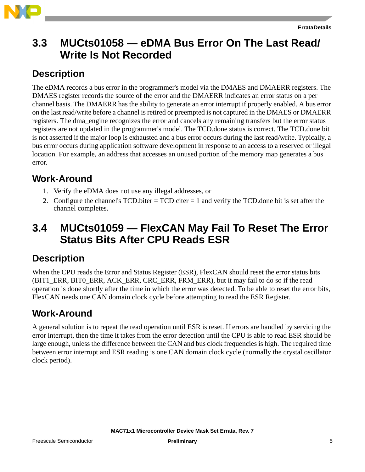

### <span id="page-4-1"></span>**3.3 MUCts01058 — eDMA Bus Error On The Last Read/ Write Is Not Recorded**

#### **Description**

The eDMA records a bus error in the programmer's model via the DMAES and DMAERR registers. The DMAES register records the source of the error and the DMAERR indicates an error status on a per channel basis. The DMAERR has the ability to generate an error interrupt if properly enabled. A bus error on the last read/write before a channel is retired or preempted is not captured in the DMAES or DMAERR registers. The dma\_engine recognizes the error and cancels any remaining transfers but the error status registers are not updated in the programmer's model. The TCD.done status is correct. The TCD.done bit is not asserted if the major loop is exhausted and a bus error occurs during the last read/write. Typically, a bus error occurs during application software development in response to an access to a reserved or illegal location. For example, an address that accesses an unused portion of the memory map generates a bus error.

#### **Work-Around**

- 1. Verify the eDMA does not use any illegal addresses, or
- 2. Configure the channel's TCD.biter  $=$  TCD citer  $=$  1 and verify the TCD.done bit is set after the channel completes.

# <span id="page-4-0"></span>**3.4 MUCts01059 — FlexCAN May Fail To Reset The Error Status Bits After CPU Reads ESR**

#### **Description**

When the CPU reads the Error and Status Register (ESR), FlexCAN should reset the error status bits (BIT1\_ERR, BIT0\_ERR, ACK\_ERR, CRC\_ERR, FRM\_ERR), but it may fail to do so if the read operation is done shortly after the time in which the error was detected. To be able to reset the error bits, FlexCAN needs one CAN domain clock cycle before attempting to read the ESR Register.

## **Work-Around**

A general solution is to repeat the read operation until ESR is reset. If errors are handled by servicing the error interrupt, then the time it takes from the error detection until the CPU is able to read ESR should be large enough, unless the difference between the CAN and bus clock frequencies is high. The required time between error interrupt and ESR reading is one CAN domain clock cycle (normally the crystal oscillator clock period).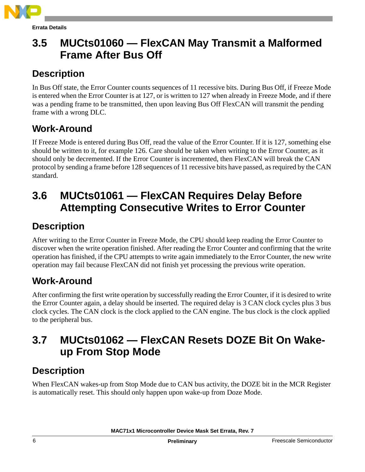

# <span id="page-5-2"></span>**3.5 MUCts01060 — FlexCAN May Transmit a Malformed Frame After Bus Off**

# **Description**

In Bus Off state, the Error Counter counts sequences of 11 recessive bits. During Bus Off, if Freeze Mode is entered when the Error Counter is at 127, or is written to 127 when already in Freeze Mode, and if there was a pending frame to be transmitted, then upon leaving Bus Off FlexCAN will transmit the pending frame with a wrong DLC.

# **Work-Around**

If Freeze Mode is entered during Bus Off, read the value of the Error Counter. If it is 127, something else should be written to it, for example 126. Care should be taken when writing to the Error Counter, as it should only be decremented. If the Error Counter is incremented, then FlexCAN will break the CAN protocol by sending a frame before 128 sequences of 11 recessive bits have passed, as required by the CAN standard.

# <span id="page-5-1"></span>**3.6 MUCts01061 — FlexCAN Requires Delay Before Attempting Consecutive Writes to Error Counter**

# **Description**

After writing to the Error Counter in Freeze Mode, the CPU should keep reading the Error Counter to discover when the write operation finished. After reading the Error Counter and confirming that the write operation has finished, if the CPU attempts to write again immediately to the Error Counter, the new write operation may fail because FlexCAN did not finish yet processing the previous write operation.

# **Work-Around**

After confirming the first write operation by successfully reading the Error Counter, if it is desired to write the Error Counter again, a delay should be inserted. The required delay is 3 CAN clock cycles plus 3 bus clock cycles. The CAN clock is the clock applied to the CAN engine. The bus clock is the clock applied to the peripheral bus.

# <span id="page-5-0"></span>**3.7 MUCts01062 — FlexCAN Resets DOZE Bit On Wakeup From Stop Mode**

# **Description**

When FlexCAN wakes-up from Stop Mode due to CAN bus activity, the DOZE bit in the MCR Register is automatically reset. This should only happen upon wake-up from Doze Mode.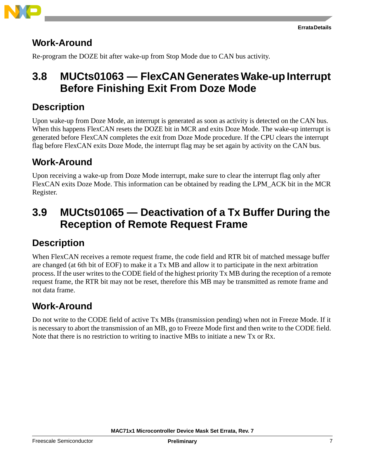



#### **Work-Around**

Re-program the DOZE bit after wake-up from Stop Mode due to CAN bus activity.

# <span id="page-6-1"></span>**3.8 MUCts01063 — FlexCAN Generates Wake-up Interrupt Before Finishing Exit From Doze Mode**

#### **Description**

Upon wake-up from Doze Mode, an interrupt is generated as soon as activity is detected on the CAN bus. When this happens FlexCAN resets the DOZE bit in MCR and exits Doze Mode. The wake-up interrupt is generated before FlexCAN completes the exit from Doze Mode procedure. If the CPU clears the interrupt flag before FlexCAN exits Doze Mode, the interrupt flag may be set again by activity on the CAN bus.

#### **Work-Around**

Upon receiving a wake-up from Doze Mode interrupt, make sure to clear the interrupt flag only after FlexCAN exits Doze Mode. This information can be obtained by reading the LPM\_ACK bit in the MCR Register.

# <span id="page-6-0"></span>**3.9 MUCts01065 — Deactivation of a Tx Buffer During the Reception of Remote Request Frame**

#### **Description**

When FlexCAN receives a remote request frame, the code field and RTR bit of matched message buffer are changed (at 6th bit of EOF) to make it a Tx MB and allow it to participate in the next arbitration process. If the user writes to the CODE field of the highest priority Tx MB during the reception of a remote request frame, the RTR bit may not be reset, therefore this MB may be transmitted as remote frame and not data frame.

#### **Work-Around**

Do not write to the CODE field of active Tx MBs (transmission pending) when not in Freeze Mode. If it is necessary to abort the transmission of an MB, go to Freeze Mode first and then write to the CODE field. Note that there is no restriction to writing to inactive MBs to initiate a new Tx or Rx.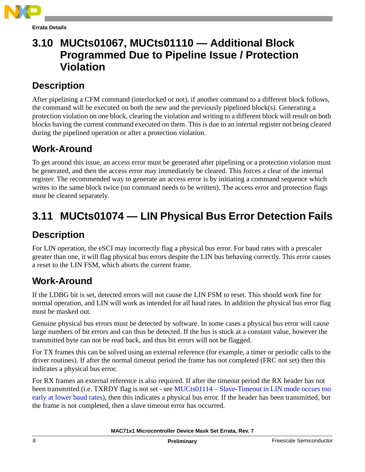

# <span id="page-7-0"></span>**3.10 MUCts01067, MUCts01110 — Additional Block Programmed Due to Pipeline Issue / Protection Violation**

### **Description**

After pipelining a CFM command (interlocked or not), if another command to a different block follows, the command will be executed on both the new and the previously pipelined block(s). Generating a protection violation on one block, clearing the violation and writing to a different block will result on both blocks having the current command executed on them. This is due to an internal register not being cleared during the pipelined operation or after a protection violation.

# **Work-Around**

To get around this issue, an access error must be generated after pipelining or a protection violation must be generated, and then the access error may immediately be cleared. This forces a clear of the internal register. The recommended way to generate an access error is by initiating a command sequence which writes to the same block twice (no command needs to be written). The access error and protection flags must be cleared separately.

# <span id="page-7-1"></span>**3.11 MUCts01074 — LIN Physical Bus Error Detection Fails**

## **Description**

For LIN operation, the eSCI may incorrectly flag a physical bus error. For baud rates with a prescaler greater than one, it will flag physical bus errors despite the LIN bus behaving correctly. This error causes a reset to the LIN FSM, which aborts the current frame.

## **Work-Around**

If the LDBG bit is set, detected errors will not cause the LIN FSM to reset. This should work fine for normal operation, and LIN will work as intended for all baud rates. In addition the physical bus error flag must be masked out.

Genuine physical bus errors must be detected by software. In some cases a physical bus error will cause large numbers of bit errors and can thus be detected. If the bus is stuck at a constant value, however the transmitted byte can not be read back, and thus bit errors will not be flagged.

For TX frames this can be solved using an external reference (for example, a timer or periodic calls to the driver routines). If after the normal timeout period the frame has not completed (FRC not set) then this indicates a physical bus error.

For RX frames an external reference is also required. If after the timeout period the RX header has not been transmitted (i.e. TXRDY flag is not set - see MUCts01114 – Slave-Timeout in LIN mode occurs too early at lower baud rates), then this indicates a physical bus error. If the header has been transmitted, but the frame is not completed, then a slave timeout error has occurred.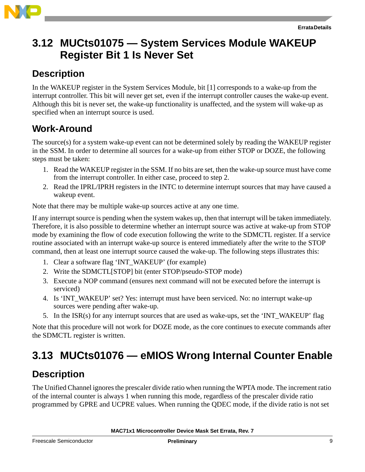

## <span id="page-8-1"></span>**3.12 MUCts01075 — System Services Module WAKEUP Register Bit 1 Is Never Set**

#### **Description**

In the WAKEUP register in the System Services Module, bit [1] corresponds to a wake-up from the interrupt controller. This bit will never get set, even if the interrupt controller causes the wake-up event. Although this bit is never set, the wake-up functionality is unaffected, and the system will wake-up as specified when an interrupt source is used.

### **Work-Around**

The source(s) for a system wake-up event can not be determined solely by reading the WAKEUP register in the SSM. In order to determine all sources for a wake-up from either STOP or DOZE, the following steps must be taken:

- 1. Read the WAKEUP register in the SSM. If no bits are set, then the wake-up source must have come from the interrupt controller. In either case, proceed to step 2.
- 2. Read the IPRL/IPRH registers in the INTC to determine interrupt sources that may have caused a wakeup event.

Note that there may be multiple wake-up sources active at any one time.

If any interrupt source is pending when the system wakes up, then that interrupt will be taken immediately. Therefore, it is also possible to determine whether an interrupt source was active at wake-up from STOP mode by examining the flow of code execution following the write to the SDMCTL register. If a service routine associated with an interrupt wake-up source is entered immediately after the write to the STOP command, then at least one interrupt source caused the wake-up. The following steps illustrates this:

- 1. Clear a software flag 'INT\_WAKEUP' (for example)
- 2. Write the SDMCTL[STOP] bit (enter STOP/pseudo-STOP mode)
- 3. Execute a NOP command (ensures next command will not be executed before the interrupt is serviced)
- 4. Is 'INT\_WAKEUP' set? Yes: interrupt must have been serviced. No: no interrupt wake-up sources were pending after wake-up.
- 5. In the ISR(s) for any interrupt sources that are used as wake-ups, set the 'INT\_WAKEUP' flag

Note that this procedure will not work for DOZE mode, as the core continues to execute commands after the SDMCTL register is written.

# <span id="page-8-0"></span>**3.13 MUCts01076 — eMIOS Wrong Internal Counter Enable**

## **Description**

The Unified Channel ignores the prescaler divide ratio when running the WPTA mode. The increment ratio of the internal counter is always 1 when running this mode, regardless of the prescaler divide ratio programmed by GPRE and UCPRE values. When running the QDEC mode, if the divide ratio is not set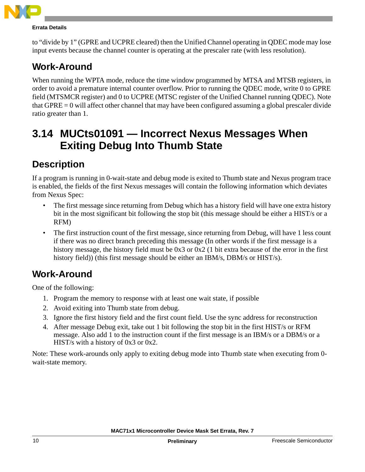

to "divide by 1" (GPRE and UCPRE cleared) then the Unified Channel operating in QDEC mode may lose input events because the channel counter is operating at the prescaler rate (with less resolution).

# **Work-Around**

When running the WPTA mode, reduce the time window programmed by MTSA and MTSB registers, in order to avoid a premature internal counter overflow. Prior to running the QDEC mode, write 0 to GPRE field (MTSMCR register) and 0 to UCPRE (MTSC register of the Unified Channel running QDEC). Note that GPRE = 0 will affect other channel that may have been configured assuming a global prescaler divide ratio greater than 1.

# <span id="page-9-0"></span>**3.14 MUCts01091 — Incorrect Nexus Messages When Exiting Debug Into Thumb State**

## **Description**

If a program is running in 0-wait-state and debug mode is exited to Thumb state and Nexus program trace is enabled, the fields of the first Nexus messages will contain the following information which deviates from Nexus Spec:

- The first message since returning from Debug which has a history field will have one extra history bit in the most significant bit following the stop bit (this message should be either a HIST/s or a RFM)
- The first instruction count of the first message, since returning from Debug, will have 1 less count if there was no direct branch preceding this message (In other words if the first message is a history message, the history field must be 0x3 or 0x2 (1 bit extra because of the error in the first history field)) (this first message should be either an IBM/s, DBM/s or HIST/s).

## **Work-Around**

One of the following:

- 1. Program the memory to response with at least one wait state, if possible
- 2. Avoid exiting into Thumb state from debug.
- 3. Ignore the first history field and the first count field. Use the sync address for reconstruction
- 4. After message Debug exit, take out 1 bit following the stop bit in the first HIST/s or RFM message. Also add 1 to the instruction count if the first message is an IBM/s or a DBM/s or a HIST/s with a history of 0x3 or 0x2.

Note: These work-arounds only apply to exiting debug mode into Thumb state when executing from 0 wait-state memory.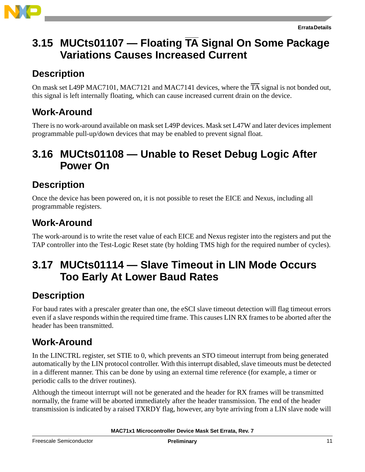

# <span id="page-10-1"></span>**3.15 MUCts01107 — Floating TA Signal On Some Package Variations Causes Increased Current**

#### **Description**

On mask set L49P MAC7101, MAC7121 and MAC7141 devices, where the  $\overline{TA}$  signal is not bonded out, this signal is left internally floating, which can cause increased current drain on the device.

### **Work-Around**

There is no work-around available on mask set L49P devices. Mask set L47W and later devices implement programmable pull-up/down devices that may be enabled to prevent signal float.

# <span id="page-10-0"></span>**3.16 MUCts01108 — Unable to Reset Debug Logic After Power On**

#### **Description**

Once the device has been powered on, it is not possible to reset the EICE and Nexus, including all programmable registers.

#### **Work-Around**

The work-around is to write the reset value of each EICE and Nexus register into the registers and put the TAP controller into the Test-Logic Reset state (by holding TMS high for the required number of cycles).

# <span id="page-10-2"></span>**3.17 MUCts01114 — Slave Timeout in LIN Mode Occurs Too Early At Lower Baud Rates**

## **Description**

For baud rates with a prescaler greater than one, the eSCI slave timeout detection will flag timeout errors even if a slave responds within the required time frame. This causes LIN RX frames to be aborted after the header has been transmitted.

#### **Work-Around**

In the LINCTRL register, set STIE to 0, which prevents an STO timeout interrupt from being generated automatically by the LIN protocol controller. With this interrupt disabled, slave timeouts must be detected in a different manner. This can be done by using an external time reference (for example, a timer or periodic calls to the driver routines).

Although the timeout interrupt will not be generated and the header for RX frames will be transmitted normally, the frame will be aborted immediately after the header transmission. The end of the header transmission is indicated by a raised TXRDY flag, however, any byte arriving from a LIN slave node will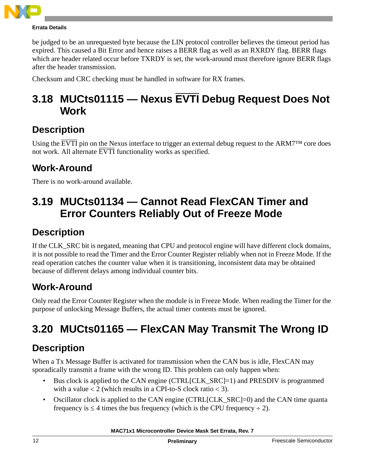

be judged to be an unrequested byte because the LIN protocol controller believes the timeout period has expired. This caused a Bit Error and hence raises a BERR flag as well as an RXRDY flag. BERR flags which are header related occur before TXRDY is set, the work-around must therefore ignore BERR flags after the header transmission.

Checksum and CRC checking must be handled in software for RX frames.

# <span id="page-11-2"></span>**3.18 MUCts01115 — Nexus EVTI Debug Request Does Not Work**

#### **Description**

Using the EVTI pin on the Nexus interface to trigger an external debug request to the ARM7™ core does not work. All alternate EVTI functionality works as specified.

#### **Work-Around**

There is no work-around available.

# <span id="page-11-1"></span>**3.19 MUCts01134 — Cannot Read FlexCAN Timer and Error Counters Reliably Out of Freeze Mode**

#### **Description**

If the CLK\_SRC bit is negated, meaning that CPU and protocol engine will have different clock domains, it is not possible to read the Timer and the Error Counter Register reliably when not in Freeze Mode. If the read operation catches the counter value when it is transitioning, inconsistent data may be obtained because of different delays among individual counter bits.

#### **Work-Around**

Only read the Error Counter Register when the module is in Freeze Mode. When reading the Timer for the purpose of unlocking Message Buffers, the actual timer contents must be ignored.

# <span id="page-11-0"></span>**3.20 MUCts01165 — FlexCAN May Transmit The Wrong ID**

#### **Description**

When a Tx Message Buffer is activated for transmission when the CAN bus is idle, FlexCAN may sporadically transmit a frame with the wrong ID. This problem can only happen when:

- Bus clock is applied to the CAN engine (CTRL[CLK\_SRC]=1) and PRESDIV is programmed with a value  $< 2$  (which results in a CPI-to-S clock ratio  $< 3$ ).
- Oscillator clock is applied to the CAN engine (CTRL[CLK\_SRC]=0) and the CAN time quanta frequency is  $\leq 4$  times the bus frequency (which is the CPU frequency  $\div 2$ ).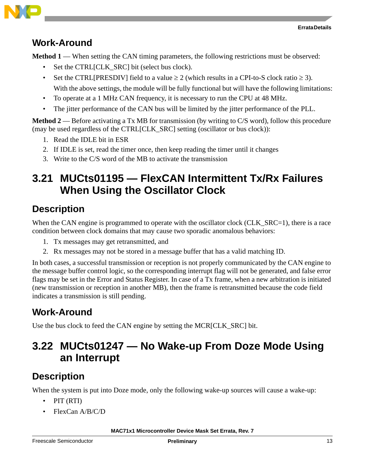

#### **Work-Around**

**Method 1** — When setting the CAN timing parameters, the following restrictions must be observed:

- Set the CTRL[CLK\_SRC] bit (select bus clock).
- Set the CTRL[PRESDIV] field to a value  $\geq 2$  (which results in a CPI-to-S clock ratio  $\geq 3$ ). With the above settings, the module will be fully functional but will have the following limitations:
- To operate at a 1 MHz CAN frequency, it is necessary to run the CPU at 48 MHz.
- The jitter performance of the CAN bus will be limited by the jitter performance of the PLL.

**Method 2** — Before activating a Tx MB for transmission (by writing to C/S word), follow this procedure (may be used regardless of the CTRL[CLK\_SRC] setting (oscillator or bus clock)):

- 1. Read the IDLE bit in ESR
- 2. If IDLE is set, read the timer once, then keep reading the timer until it changes
- 3. Write to the C/S word of the MB to activate the transmission

# <span id="page-12-1"></span>**3.21 MUCts01195 — FlexCAN Intermittent Tx/Rx Failures When Using the Oscillator Clock**

#### **Description**

When the CAN engine is programmed to operate with the oscillator clock (CLK\_SRC=1), there is a race condition between clock domains that may cause two sporadic anomalous behaviors:

- 1. Tx messages may get retransmitted, and
- 2. Rx messages may not be stored in a message buffer that has a valid matching ID.

In both cases, a successful transmission or reception is not properly communicated by the CAN engine to the message buffer control logic, so the corresponding interrupt flag will not be generated, and false error flags may be set in the Error and Status Register. In case of a Tx frame, when a new arbitration is initiated (new transmission or reception in another MB), then the frame is retransmitted because the code field indicates a transmission is still pending.

#### **Work-Around**

Use the bus clock to feed the CAN engine by setting the MCR[CLK\_SRC] bit.

# <span id="page-12-0"></span>**3.22 MUCts01247 — No Wake-up From Doze Mode Using an Interrupt**

#### **Description**

When the system is put into Doze mode, only the following wake-up sources will cause a wake-up:

- PIT (RTI)
- FlexCan A/B/C/D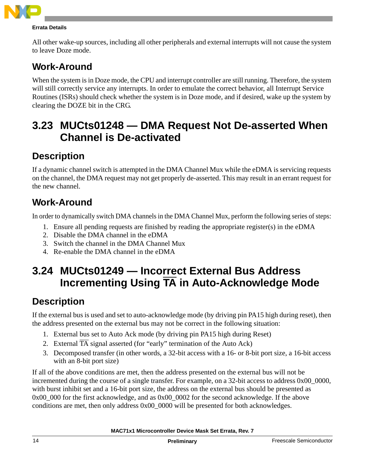

All other wake-up sources, including all other peripherals and external interrupts will not cause the system to leave Doze mode.

# **Work-Around**

When the system is in Doze mode, the CPU and interrupt controller are still running. Therefore, the system will still correctly service any interrupts. In order to emulate the correct behavior, all Interrupt Service Routines (ISRs) should check whether the system is in Doze mode, and if desired, wake up the system by clearing the DOZE bit in the CRG.

# <span id="page-13-1"></span>**3.23 MUCts01248 — DMA Request Not De-asserted When Channel is De-activated**

# **Description**

If a dynamic channel switch is attempted in the DMA Channel Mux while the eDMA is servicing requests on the channel, the DMA request may not get properly de-asserted. This may result in an errant request for the new channel.

# **Work-Around**

In order to dynamically switch DMA channels in the DMA Channel Mux, perform the following series of steps:

- 1. Ensure all pending requests are finished by reading the appropriate register(s) in the eDMA
- 2. Disable the DMA channel in the eDMA
- 3. Switch the channel in the DMA Channel Mux
- 4. Re-enable the DMA channel in the eDMA

# <span id="page-13-0"></span>**3.24 MUCts01249 — Incorrect External Bus Address Incrementing Using TA in Auto-Acknowledge Mode**

#### **Description**

If the external bus is used and set to auto-acknowledge mode (by driving pin PA15 high during reset), then the address presented on the external bus may not be correct in the following situation:

- 1. External bus set to Auto Ack mode (by driving pin PA15 high during Reset)
- 2. External TA signal asserted (for "early" termination of the Auto Ack)
- 3. Decomposed transfer (in other words, a 32-bit access with a 16- or 8-bit port size, a 16-bit access with an 8-bit port size)

If all of the above conditions are met, then the address presented on the external bus will not be incremented during the course of a single transfer. For example, on a 32-bit access to address 0x00\_0000, with burst inhibit set and a 16-bit port size, the address on the external bus should be presented as  $0x00\,000$  for the first acknowledge, and as  $0x00\,0002$  for the second acknowledge. If the above conditions are met, then only address 0x00\_0000 will be presented for both acknowledges.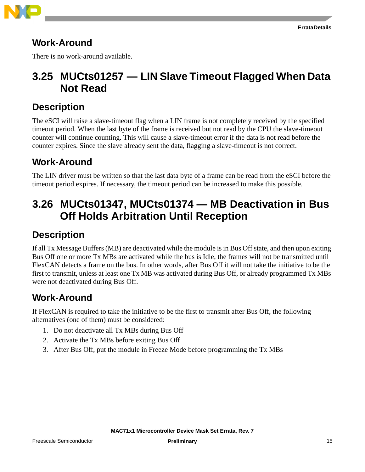



#### **Work-Around**

There is no work-around available.

# <span id="page-14-1"></span>**3.25 MUCts01257 — LIN Slave Timeout Flagged When Data Not Read**

#### **Description**

The eSCI will raise a slave-timeout flag when a LIN frame is not completely received by the specified timeout period. When the last byte of the frame is received but not read by the CPU the slave-timeout counter will continue counting. This will cause a slave-timeout error if the data is not read before the counter expires. Since the slave already sent the data, flagging a slave-timeout is not correct.

#### **Work-Around**

The LIN driver must be written so that the last data byte of a frame can be read from the eSCI before the timeout period expires. If necessary, the timeout period can be increased to make this possible.

# <span id="page-14-0"></span>**3.26 MUCts01347, MUCts01374 — MB Deactivation in Bus Off Holds Arbitration Until Reception**

#### **Description**

If all Tx Message Buffers (MB) are deactivated while the module is in Bus Off state, and then upon exiting Bus Off one or more Tx MBs are activated while the bus is Idle, the frames will not be transmitted until FlexCAN detects a frame on the bus. In other words, after Bus Off it will not take the initiative to be the first to transmit, unless at least one Tx MB was activated during Bus Off, or already programmed Tx MBs were not deactivated during Bus Off.

#### **Work-Around**

If FlexCAN is required to take the initiative to be the first to transmit after Bus Off, the following alternatives (one of them) must be considered:

- 1. Do not deactivate all Tx MBs during Bus Off
- 2. Activate the Tx MBs before exiting Bus Off
- 3. After Bus Off, put the module in Freeze Mode before programming the Tx MBs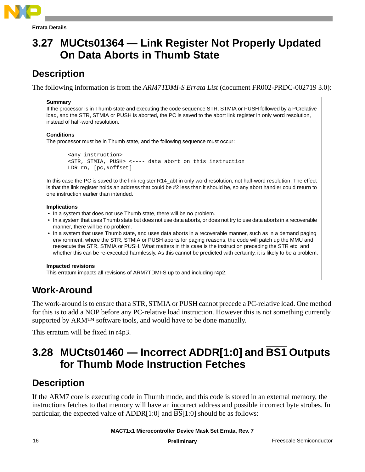

# <span id="page-15-1"></span>**3.27 MUCts01364 — Link Register Not Properly Updated On Data Aborts in Thumb State**

### **Description**

The following information is from the *ARM7TDMI-S Errata List* (document FR002-PRDC-002719 3.0):

#### **Summary**

If the processor is in Thumb state and executing the code sequence STR, STMIA or PUSH followed by a PCrelative load, and the STR, STMIA or PUSH is aborted, the PC is saved to the abort link register in only word resolution, instead of half-word resolution.

#### **Conditions**

The processor must be in Thumb state, and the following sequence must occur:

```
<any instruction>
<STR, STMIA, PUSH> <---- data abort on this instruction
LDR rn, [pc,#offset]
```
In this case the PC is saved to the link register R14\_abt in only word resolution, not half-word resolution. The effect is that the link register holds an address that could be #2 less than it should be, so any abort handler could return to one instruction earlier than intended.

#### **Implications**

- In a system that does not use Thumb state, there will be no problem.
- In a system that uses Thumb state but does not use data aborts, or does not try to use data aborts in a recoverable manner, there will be no problem.
- In a system that uses Thumb state, and uses data aborts in a recoverable manner, such as in a demand paging environment, where the STR, STMIA or PUSH aborts for paging reasons, the code will patch up the MMU and reexecute the STR, STMIA or PUSH. What matters in this case is the instruction preceding the STR etc, and whether this can be re-executed harmlessly. As this cannot be predicted with certainty, it is likely to be a problem.

#### **Impacted revisions**

This erratum impacts all revisions of ARM7TDMI-S up to and including r4p2.

#### **Work-Around**

The work-around is to ensure that a STR, STMIA or PUSH cannot precede a PC-relative load. One method for this is to add a NOP before any PC-relative load instruction. However this is not something currently supported by ARM™ software tools, and would have to be done manually.

This erratum will be fixed in r4p3.

# <span id="page-15-0"></span>**3.28 MUCts01460 — Incorrect ADDR[1:0] and BS1 Outputs for Thumb Mode Instruction Fetches**

## **Description**

If the ARM7 core is executing code in Thumb mode, and this code is stored in an external memory, the instructions fetches to that memory will have an incorrect address and possible incorrect byte strobes. In particular, the expected value of ADDR[1:0] and BS[1:0] should be as follows:

```
MAC71x1 Microcontroller Device Mask Set Errata, Rev. 7
```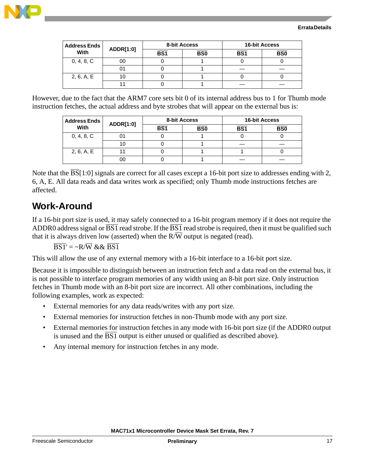

| <b>Address Ends</b> | <b>ADDR[1:0]</b> | 8-bit Access    |            | <b>16-bit Access</b> |            |  |
|---------------------|------------------|-----------------|------------|----------------------|------------|--|
| With                |                  | BS <sub>1</sub> | <b>BS0</b> | BS <sub>1</sub>      | <b>BS0</b> |  |
| 0, 4, 8, C          | 00               |                 |            |                      |            |  |
|                     |                  |                 |            |                      |            |  |
| 2, 6, A, E          |                  |                 |            |                      |            |  |
|                     |                  |                 |            |                      |            |  |

However, due to the fact that the ARM7 core sets bit 0 of its internal address bus to 1 for Thumb mode instruction fetches, the actual address and byte strobes that will appear on the external bus is:

| <b>Address Ends</b> | ADDR[1:0] |                 | 8-bit Access    | <b>16-bit Access</b> |                 |  |
|---------------------|-----------|-----------------|-----------------|----------------------|-----------------|--|
| With                |           | BS <sub>1</sub> | B <sub>S0</sub> | BS <sub>1</sub>      | B <sub>S0</sub> |  |
| 0, 4, 8, C          |           |                 |                 |                      |                 |  |
|                     | 10        |                 |                 |                      |                 |  |
| 2, 6, A, E          |           |                 |                 |                      |                 |  |
|                     | 00        |                 |                 |                      |                 |  |

Note that the  $\overline{BS}[1:0]$  signals are correct for all cases except a 16-bit port size to addresses ending with 2, 6, A, E. All data reads and data writes work as specified; only Thumb mode instructions fetches are affected.

#### **Work-Around**

If a 16-bit port size is used, it may safely connected to a 16-bit program memory if it does not require the ADDR0 address signal or  $\overline{BS1}$  read strobe. If the  $\overline{BS1}$  read strobe is required, then it must be qualified such that it is always driven low (asserted) when the  $R/\overline{W}$  output is negated (read).

 $\overline{BS1'} = \neg R/\overline{W}$  & &  $\overline{BS1}$ 

This will allow the use of any external memory with a 16-bit interface to a 16-bit port size.

Because it is impossible to distinguish between an instruction fetch and a data read on the external bus, it is not possible to interface program memories of any width using an 8-bit port size. Only instruction fetches in Thumb mode with an 8-bit port size are incorrect. All other combinations, including the following examples, work as expected:

- External memories for any data reads/writes with any port size.
- External memories for instruction fetches in non-Thumb mode with any port size.
- External memories for instruction fetches in any mode with 16-bit port size (if the ADDR0 output is unused and the BS1 output is either unused or qualified as described above).
- Any internal memory for instruction fetches in any mode.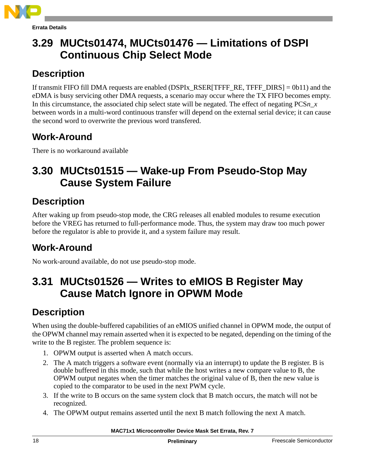

# <span id="page-17-2"></span>**3.29 MUCts01474, MUCts01476 — Limitations of DSPI Continuous Chip Select Mode**

# **Description**

If transmit FIFO fill DMA requests are enabled (DSPIx\_RSER[TFFF\_RE, TFFF\_DIRS] = 0b11) and the eDMA is busy servicing other DMA requests, a scenario may occur where the TX FIFO becomes empty. In this circumstance, the associated chip select state will be negated. The effect of negating PCS*n\_x* between words in a multi-word continuous transfer will depend on the external serial device; it can cause the second word to overwrite the previous word transfered.

# **Work-Around**

There is no workaround available

# <span id="page-17-1"></span>**3.30 MUCts01515 — Wake-up From Pseudo-Stop May Cause System Failure**

# **Description**

After waking up from pseudo-stop mode, the CRG releases all enabled modules to resume execution before the VREG has returned to full-performance mode. Thus, the system may draw too much power before the regulator is able to provide it, and a system failure may result.

# **Work-Around**

No work-around available, do not use pseudo-stop mode.

# <span id="page-17-0"></span>**3.31 MUCts01526 — Writes to eMIOS B Register May Cause Match Ignore in OPWM Mode**

# **Description**

When using the double-buffered capabilities of an eMIOS unified channel in OPWM mode, the output of the OPWM channel may remain asserted when it is expected to be negated, depending on the timing of the write to the B register. The problem sequence is:

- 1. OPWM output is asserted when A match occurs.
- 2. The A match triggers a software event (normally via an interrupt) to update the B register. B is double buffered in this mode, such that while the host writes a new compare value to B, the OPWM output negates when the timer matches the original value of B, then the new value is copied to the comparator to be used in the next PWM cycle.
- 3. If the write to B occurs on the same system clock that B match occurs, the match will not be recognized.
- 4. The OPWM output remains asserted until the next B match following the next A match.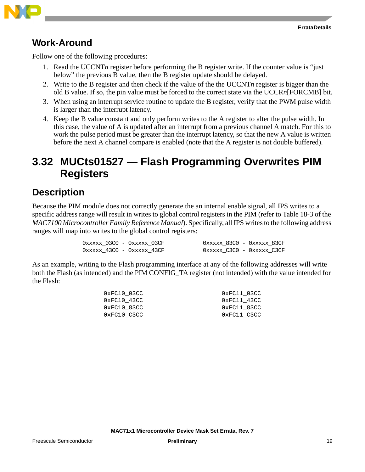

#### **Work-Around**

Follow one of the following procedures:

- 1. Read the UCCNT*n* register before performing the B register write. If the counter value is "just below" the previous B value, then the B register update should be delayed.
- 2. Write to the B register and then check if the value of the the UCCNT*n* register is bigger than the old B value. If so, the pin value must be forced to the correct state via the UCCR*n*[FORCMB] bit.
- 3. When using an interrupt service routine to update the B register, verify that the PWM pulse width is larger than the interrupt latency.
- 4. Keep the B value constant and only perform writes to the A register to alter the pulse width. In this case, the value of A is updated after an interrupt from a previous channel A match. For this to work the pulse period must be greater than the interrupt latency, so that the new A value is written before the next A channel compare is enabled (note that the A register is not double buffered).

# <span id="page-18-0"></span>**3.32 MUCts01527 — Flash Programming Overwrites PIM Registers**

#### **Description**

Because the PIM module does not correctly generate the an internal enable signal, all IPS writes to a specific address range will result in writes to global control registers in the PIM (refer to Table 18-3 of the *MAC7100 Microcontroller Family Reference Manual*). Specifically, all IPS writes to the following address ranges will map into writes to the global control registers:

| $0xxxxx 03C0 - 0xxxxx 03CF$   | 0xxxxx 83C0 - 0xxxxx 83CF |  |  |
|-------------------------------|---------------------------|--|--|
| $0xxxxx$ 43CO - $0xxxxx$ 43CF | 0xxxxx C3C0 - 0xxxxx C3CF |  |  |

As an example, writing to the Flash programming interface at any of the following addresses will write both the Flash (as intended) and the PIM CONFIG TA register (not intended) with the value intended for the Flash:

| 0xFC10 03CC | 0xFC11 03CC |
|-------------|-------------|
| 0xFC10 43CC | 0xFC11 43CC |
| 0xFC10 83CC | 0xFC11 83CC |
| 0xFC10 C3CC | 0xFC11 C3CC |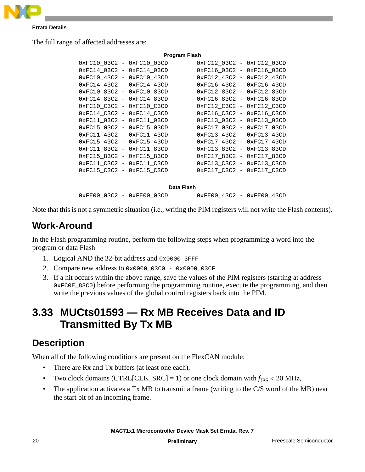

The full range of affected addresses are:

| <b>Program Flash</b> |  |                             |                           |  |  |
|----------------------|--|-----------------------------|---------------------------|--|--|
|                      |  | 0xFC10_03C2 - 0xFC10_03CD   | 0xFC12_03C2 - 0xFC12_03CD |  |  |
|                      |  | 0xFC14_03C2 - 0xFC14_03CD   | 0xFC16_03C2 - 0xFC16_03CD |  |  |
|                      |  | 0xFC10_43C2 - 0xFC10_43CD   | 0xFC12_43C2 - 0xFC12_43CD |  |  |
|                      |  | 0xFC14_43C2 - 0xFC14_43CD   | 0xFC16_43C2 - 0xFC16_43CD |  |  |
|                      |  | 0xFC10_83C2 - 0xFC10_83CD   | 0xFC12_83C2 - 0xFC12_83CD |  |  |
|                      |  | 0xFC14_83C2 - 0xFC14_83CD   | 0xFC16_83C2 - 0xFC16_83CD |  |  |
|                      |  | 0xFC10_C3C2 - 0xFC10_C3CD   | 0xFC12_C3C2 - 0xFC12_C3CD |  |  |
|                      |  | $0xFC14_C3C2 - 0xFC14_C3CD$ | 0xFC16_C3C2 - 0xFC16_C3CD |  |  |
|                      |  | 0xFC11_03C2 - 0xFC11_03CD   | 0xFC13_03C2 - 0xFC13_03CD |  |  |
|                      |  | 0xFC15_03C2 - 0xFC15_03CD   | 0xFC17_03C2 - 0xFC17_03CD |  |  |
|                      |  | 0xFC11_43C2 - 0xFC11_43CD   | 0xFC13_43C2 - 0xFC13_43CD |  |  |
|                      |  | 0xFC15_43C2 - 0xFC15_43CD   | 0xFC17_43C2 - 0xFC17_43CD |  |  |
|                      |  | 0xFC11_83C2 - 0xFC11_83CD   | 0xFC13_83C2 - 0xFC13_83CD |  |  |
|                      |  | 0xFC15_83C2 - 0xFC15_83CD   | 0xFC17_83C2 - 0xFC17_83CD |  |  |
|                      |  | 0xFC11_C3C2 - 0xFC11_C3CD   | 0xFC13_C3C2 - 0xFC13_C3CD |  |  |
|                      |  | 0xFC15_C3C2 - 0xFC15_C3CD   | 0xFC17_C3C2 - 0xFC17_C3CD |  |  |
|                      |  |                             |                           |  |  |
| Data Flash           |  |                             |                           |  |  |
|                      |  | 0xFE00_03C2 - 0xFE00_03CD   | 0xFE00_43C2 - 0xFE00_43CD |  |  |

Note that this is not a symmetric situation (i.e., writing the PIM registers will not write the Flash contents).

#### **Work-Around**

In the Flash programming routine, perform the following steps when programming a word into the program or data Flash

- 1. Logical AND the 32-bit address and  $0 \times 0000$ \_3FFF
- 2. Compare new address to  $0 \times 0000_03$  compared  $-0 \times 0000_03$  cF
- 3. If a hit occurs within the above range, save the values of the PIM registers (starting at address 0xFC0E\_83C0) before performing the programming routine, execute the programming, and then write the previous values of the global control registers back into the PIM.

# <span id="page-19-0"></span>**3.33 MUCts01593 — Rx MB Receives Data and ID Transmitted By Tx MB**

#### **Description**

When all of the following conditions are present on the FlexCAN module:

- There are Rx and Tx buffers (at least one each),
- Two clock domains (CTRL[CLK\_SRC] = 1) or one clock domain with  $f_{IPS}$  < 20 MHz,
- The application activates a Tx MB to transmit a frame (writing to the C/S word of the MB) near the start bit of an incoming frame.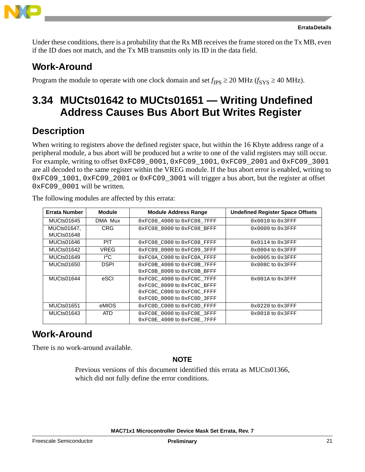

Under these conditions, there is a probability that the Rx MB receives the frame stored on the Tx MB, even if the ID does not match, and the Tx MB transmits only its ID in the data field.

### **Work-Around**

Program the module to operate with one clock domain and set  $f_{IPS} \ge 20 \text{ MHz } (f_{SYS} \ge 40 \text{ MHz}).$ 

# <span id="page-20-0"></span>**3.34 MUCts01642 to MUCts01651 — Writing Undefined Address Causes Bus Abort But Writes Register**

#### **Description**

When writing to registers above the defined register space, but within the 16 Kbyte address range of a peripheral module, a bus abort will be produced but a write to one of the valid registers may still occur. For example, writing to offset 0xFC09\_0001, 0xFC09\_1001, 0xFC09\_2001 and 0xFC09\_3001 are all decoded to the same register within the VREG module. If the bus abort error is enabled, writing to 0xFC09\_1001, 0xFC09\_2001 or 0xFC09\_3001 will trigger a bus abort, but the register at offset 0xFC09 0001 will be written.

| <b>Errata Number</b>             | <b>Module</b> | <b>Module Address Range</b>                                                                                          | <b>Undefined Register Space Offsets</b> |
|----------------------------------|---------------|----------------------------------------------------------------------------------------------------------------------|-----------------------------------------|
| MUCts01645                       | DMA Mux       | 0xFC08 4000 to 0xFC08 7FFF                                                                                           | $0 \times 0010$ to $0 \times 3$ FFF     |
| <b>MUCts01647.</b><br>MUCts01648 | CRG           | 0xFC08 8000 to 0xFC08 BFFF                                                                                           | $0 \times 0009$ to $0 \times 3$ FFF     |
| MUCts01646                       | <b>PIT</b>    | 0xFC08 C000 to 0xFC08 FFFF                                                                                           | $0x0114$ to $0x3$ FFF                   |
| MUCts01642                       | VREG          | 0xFC09 0000 to 0xFC09 3FFF                                                                                           | $0 \times 0004$ to $0 \times 3$ FFF     |
| MUCts01649                       | $I^2C$        | 0xFC0A C000 to 0xFC0A FFFF                                                                                           | $0 \times 0005$ to $0 \times 3$ FFF     |
| <b>MUCts01650</b>                | <b>DSPI</b>   | OXFCOB 4000 to OXFCOB 7FFF<br>0xFC0B 8000 to 0xFC0B BFFF                                                             | $0x008C$ to $0x3$ FFF                   |
| MUCts01644                       | eSCI          | 0xFC0C 4000 to 0xFC0C 7FFF<br>0xFC0C 8000 to 0xFC0C BFFF<br>0xFC0C C000 to 0xFC0C FFFF<br>0xFC0D 0000 to 0xFC0D 3FFF | $0 \times 001A$ to $0 \times 3$ FFF     |
| MUCts01651                       | eMIOS         | 0xFC0D C000 to 0xFC0D FFFF                                                                                           | $0x0220$ to $0x3$ FFF                   |
| MUCts01643                       | ATD           | OXFCOE 0000 to OXFCOE 3FFF<br>OXFCOE 4000 to OXFCOE 7FFF                                                             | $0x0018$ to $0x3$ FFF                   |

The following modules are affected by this errata:

#### **Work-Around**

There is no work-around available.

#### **NOTE**

Previous versions of this document identified this errata as MUCts01366, which did not fully define the error conditions.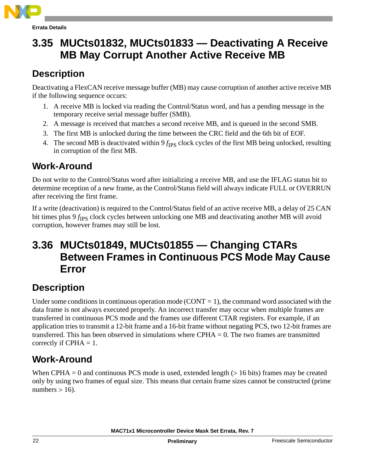

# <span id="page-21-0"></span>**3.35 MUCts01832, MUCts01833 — Deactivating A Receive MB May Corrupt Another Active Receive MB**

## **Description**

Deactivating a FlexCAN receive message buffer (MB) may cause corruption of another active receive MB if the following sequence occurs:

- 1. A receive MB is locked via reading the Control/Status word, and has a pending message in the temporary receive serial message buffer (SMB).
- 2. A message is received that matches a second receive MB, and is queued in the second SMB.
- 3. The first MB is unlocked during the time between the CRC field and the 6th bit of EOF.
- 4. The second MB is deactivated within 9 f<sub>IPS</sub> clock cycles of the first MB being unlocked, resulting in corruption of the first MB.

# **Work-Around**

Do not write to the Control/Status word after initializing a receive MB, and use the IFLAG status bit to determine reception of a new frame, as the Control/Status field will always indicate FULL or OVERRUN after receiving the first frame.

If a write (deactivation) is required to the Control/Status field of an active receive MB, a delay of 25 CAN bit times plus  $9f_{IPS}$  clock cycles between unlocking one MB and deactivating another MB will avoid corruption, however frames may still be lost.

# <span id="page-21-1"></span>**3.36 MUCts01849, MUCts01855 — Changing CTARs Between Frames in Continuous PCS Mode May Cause Error**

# **Description**

Under some conditions in continuous operation mode (CONT  $= 1$ ), the command word associated with the data frame is not always executed properly. An incorrect transfer may occur when multiple frames are transferred in continuous PCS mode and the frames use different CTAR registers. For example, if an application tries to transmit a 12-bit frame and a 16-bit frame without negating PCS, two 12-bit frames are transferred. This has been observed in simulations where  $CPHA = 0$ . The two frames are transmitted correctly if  $CPHA = 1$ .

# **Work-Around**

When CPHA  $= 0$  and continuous PCS mode is used, extended length ( $> 16$  bits) frames may be created only by using two frames of equal size. This means that certain frame sizes cannot be constructed (prime numbers  $> 16$ ).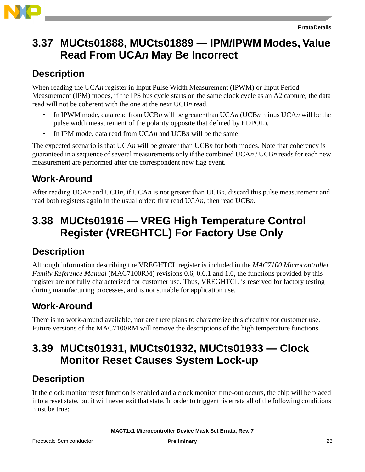

# <span id="page-22-0"></span>**3.37 MUCts01888, MUCts01889 — IPM/IPWM Modes, Value Read From UCA***n* **May Be Incorrect**

### **Description**

When reading the UCA*n* register in Input Pulse Width Measurement (IPWM) or Input Period Measurement (IPM) modes, if the IPS bus cycle starts on the same clock cycle as an A2 capture, the data read will not be coherent with the one at the next UCB*n* read.

- In IPWM mode, data read from UCB*n* will be greater than UCA*n* (UCB*n* minus UCA*n* will be the pulse width measurement of the polarity opposite that defined by EDPOL).
- In IPM mode, data read from UCA*n* and UCB*n* will be the same.

The expected scenario is that UCA*n* will be greater than UCB*n* for both modes. Note that coherency is guaranteed in a sequence of several measurements only if the combined UCA*n* / UCB*n* reads for each new measurement are performed after the correspondent new flag event.

### **Work-Around**

After reading UCA*n* and UCB*n*, if UCA*n* is not greater than UCB*n*, discard this pulse measurement and read both registers again in the usual order: first read UCA*n*, then read UCB*n*.

# <span id="page-22-2"></span>**3.38 MUCts01916 — VREG High Temperature Control Register (VREGHTCL) For Factory Use Only**

## **Description**

Although information describing the VREGHTCL register is included in the *MAC7100 Microcontroller Family Reference Manual* (MAC7100RM) revisions 0.6, 0.6.1 and 1.0, the functions provided by this register are not fully characterized for customer use. Thus, VREGHTCL is reserved for factory testing during manufacturing processes, and is not suitable for application use.

# **Work-Around**

There is no work-around available, nor are there plans to characterize this circuitry for customer use. Future versions of the MAC7100RM will remove the descriptions of the high temperature functions.

# <span id="page-22-1"></span>**3.39 MUCts01931, MUCts01932, MUCts01933 — Clock Monitor Reset Causes System Lock-up**

# **Description**

If the clock monitor reset function is enabled and a clock monitor time-out occurs, the chip will be placed into a reset state, but it will never exit that state. In order to trigger this errata all of the following conditions must be true: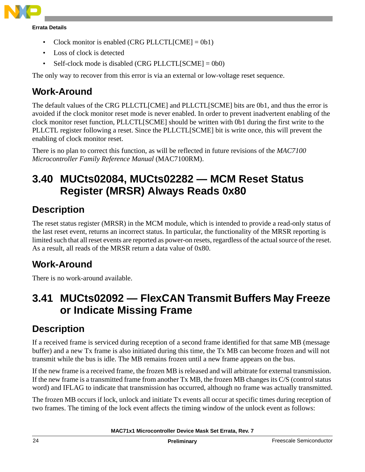

- Clock monitor is enabled (CRG PLLCTL[CME] =  $0b1$ )
- Loss of clock is detected
- Self-clock mode is disabled  $(CRG$  PLLCTL $[SCME] = 0b0$

The only way to recover from this error is via an external or low-voltage reset sequence.

# **Work-Around**

The default values of the CRG PLLCTL[CME] and PLLCTL[SCME] bits are 0b1, and thus the error is avoided if the clock monitor reset mode is never enabled. In order to prevent inadvertent enabling of the clock monitor reset function, PLLCTL[SCME] should be written with 0b1 during the first write to the PLLCTL register following a reset. Since the PLLCTL[SCME] bit is write once, this will prevent the enabling of clock monitor reset.

There is no plan to correct this function, as will be reflected in future revisions of the *MAC7100 Microcontroller Family Reference Manual* (MAC7100RM).

# <span id="page-23-0"></span>**3.40 MUCts02084, MUCts02282 — MCM Reset Status Register (MRSR) Always Reads 0x80**

# **Description**

The reset status register (MRSR) in the MCM module, which is intended to provide a read-only status of the last reset event, returns an incorrect status. In particular, the functionality of the MRSR reporting is limited such that all reset events are reported as power-on resets, regardless of the actual source of the reset. As a result, all reads of the MRSR return a data value of 0x80.

# **Work-Around**

There is no work-around available.

# <span id="page-23-1"></span>**3.41 MUCts02092 — FlexCAN Transmit Buffers May Freeze or Indicate Missing Frame**

## **Description**

If a received frame is serviced during reception of a second frame identified for that same MB (message buffer) and a new Tx frame is also initiated during this time, the Tx MB can become frozen and will not transmit while the bus is idle. The MB remains frozen until a new frame appears on the bus.

If the new frame is a received frame, the frozen MB is released and will arbitrate for external transmission. If the new frame is a transmitted frame from another Tx MB, the frozen MB changes its C/S (control status word) and IFLAG to indicate that transmission has occurred, although no frame was actually transmitted.

The frozen MB occurs if lock, unlock and initiate Tx events all occur at specific times during reception of two frames. The timing of the lock event affects the timing window of the unlock event as follows: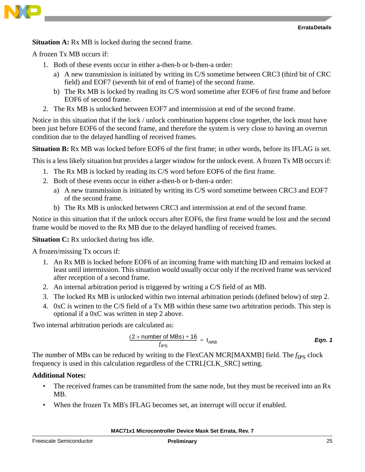

**Situation A:** Rx MB is locked during the second frame.

A frozen Tx MB occurs if:

- 1. Both of these events occur in either a-then-b or b-then-a order:
	- a) A new transmission is initiated by writing its C/S sometime between CRC3 (third bit of CRC field) and EOF7 (seventh bit of end of frame) of the second frame.
	- b) The Rx MB is locked by reading its C/S word sometime after EOF6 of first frame and before EOF6 of second frame.
- 2. The Rx MB is unlocked between EOF7 and intermission at end of the second frame.

Notice in this situation that if the lock / unlock combination happens close together, the lock must have been just before EOF6 of the second frame, and therefore the system is very close to having an overrun condition due to the delayed handling of received frames.

**Situation B:** Rx MB was locked before EOF6 of the first frame; in other words, before its IFLAG is set.

This is a less likely situation but provides a larger window for the unlock event. A frozen Tx MB occurs if:

- 1. The Rx MB is locked by reading its C/S word before EOF6 of the first frame.
- 2. Both of these events occur in either a-then-b or b-then-a order:
	- a) A new transmission is initiated by writing its C/S word sometime between CRC3 and EOF7 of the second frame.
	- b) The Rx MB is unlocked between CRC3 and intermission at end of the second frame.

Notice in this situation that if the unlock occurs after EOF6, the first frame would be lost and the second frame would be moved to the Rx MB due to the delayed handling of received frames.

**Situation C:** Rx unlocked during bus idle.

A frozen/missing Tx occurs if:

- 1. An Rx MB is locked before EOF6 of an incoming frame with matching ID and remains locked at least until intermission. This situation would usually occur only if the received frame was serviced after reception of a second frame.
- 2. An internal arbitration period is triggered by writing a C/S field of an MB.
- 3. The locked Rx MB is unlocked within two internal arbitration periods (defined below) of step 2.
- 4. 0xC is written to the C/S field of a Tx MB within these same two arbitration periods. This step is optional if a 0xC was written in step 2 above.

Two internal arbitration periods are calculated as:

$$
\frac{(2 \times \text{number of MBs}) + 16}{f_{\text{IPS}}} = t_{\text{ARB}}
$$
Eqn. 1

The number of MBs can be reduced by writing to the FlexCAN MCR[MAXMB] field. The *f*<sub>IPS</sub> clock frequency is used in this calculation regardless of the CTRL[CLK\_SRC] setting.

#### **Additional Notes:**

- The received frames can be transmitted from the same node, but they must be received into an Rx MB.
- When the frozen Tx MB's IFLAG becomes set, an interrupt will occur if enabled.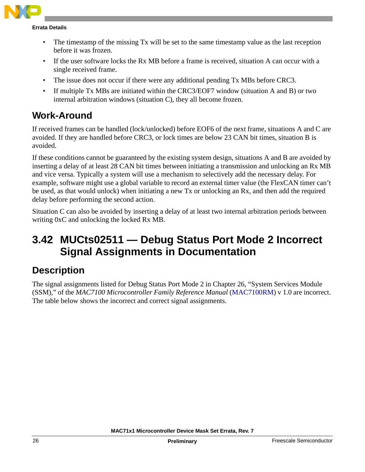

- The timestamp of the missing Tx will be set to the same timestamp value as the last reception before it was frozen.
- If the user software locks the Rx MB before a frame is received, situation A can occur with a single received frame.
- The issue does not occur if there were any additional pending Tx MBs before CRC3.
- If multiple Tx MBs are initiated within the CRC3/EOF7 window (situation A and B) or two internal arbitration windows (situation C), they all become frozen.

#### **Work-Around**

If received frames can be handled (lock/unlocked) before EOF6 of the next frame, situations A and C are avoided. If they are handled before CRC3, or lock times are below 23 CAN bit times, situation B is avoided.

If these conditions cannot be guaranteed by the existing system design, situations A and B are avoided by inserting a delay of at least 28 CAN bit times between initiating a transmission and unlocking an Rx MB and vice versa. Typically a system will use a mechanism to selectively add the necessary delay. For example, software might use a global variable to record an external timer value (the FlexCAN timer can't be used, as that would unlock) when initiating a new Tx or unlocking an Rx, and then add the required delay before performing the second action.

Situation C can also be avoided by inserting a delay of at least two internal arbitration periods between writing 0xC and unlocking the locked Rx MB.

# <span id="page-25-0"></span>**3.42 MUCts02511 — Debug Status Port Mode 2 Incorrect Signal Assignments in Documentation**

#### **Description**

The signal assignments listed for Debug Status Port Mode 2 in Chapter 26, "System Services Module (SSM)," of the *MAC7100 Microcontroller Family Reference Manual* [\(MAC7100RM](http://www.freescale.com/files/32bit/doc/ref_manual/MAC7100RM.pdf)) v 1.0 are incorrect. The table below shows the incorrect and correct signal assignments.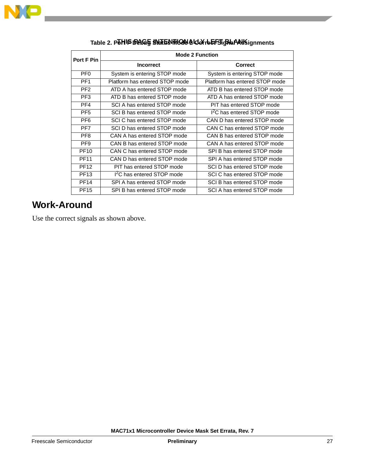

| Port F Pin      | <b>Mode 2 Function</b>                 |                                        |  |  |  |  |
|-----------------|----------------------------------------|----------------------------------------|--|--|--|--|
|                 | <b>Incorrect</b>                       | <b>Correct</b>                         |  |  |  |  |
| PF <sub>0</sub> | System is entering STOP mode           | System is entering STOP mode           |  |  |  |  |
| PF <sub>1</sub> | Platform has entered STOP mode         | Platform has entered STOP mode         |  |  |  |  |
| PF <sub>2</sub> | ATD A has entered STOP mode            | ATD B has entered STOP mode            |  |  |  |  |
| PF <sub>3</sub> | ATD B has entered STOP mode            | ATD A has entered STOP mode            |  |  |  |  |
| PF <sub>4</sub> | SCI A has entered STOP mode            | PIT has entered STOP mode              |  |  |  |  |
| PF <sub>5</sub> | SCI B has entered STOP mode            | I <sup>2</sup> C has entered STOP mode |  |  |  |  |
| PF <sub>6</sub> | SCI C has entered STOP mode            | CAN D has entered STOP mode            |  |  |  |  |
| PF7             | SCI D has entered STOP mode            | CAN C has entered STOP mode            |  |  |  |  |
| PF <sub>8</sub> | CAN A has entered STOP mode            | CAN B has entered STOP mode            |  |  |  |  |
| PF <sub>9</sub> | CAN B has entered STOP mode            | CAN A has entered STOP mode            |  |  |  |  |
| <b>PF10</b>     | CAN C has entered STOP mode            | SPI B has entered STOP mode            |  |  |  |  |
| <b>PF11</b>     | CAN D has entered STOP mode            | SPI A has entered STOP mode            |  |  |  |  |
| <b>PF12</b>     | PIT has entered STOP mode              | SCI D has entered STOP mode            |  |  |  |  |
| <b>PF13</b>     | I <sup>2</sup> C has entered STOP mode | SCI C has entered STOP mode            |  |  |  |  |
| <b>PF14</b>     | SPI A has entered STOP mode            | SCI B has entered STOP mode            |  |  |  |  |
| <b>PF15</b>     | SPI B has entered STOP mode            | SCI A has entered STOP mode            |  |  |  |  |

#### Table 2. P**THIS ውASG SNAENMON A LON rbEFSigRhANH**Signments

#### **Work-Around**

Use the correct signals as shown above.